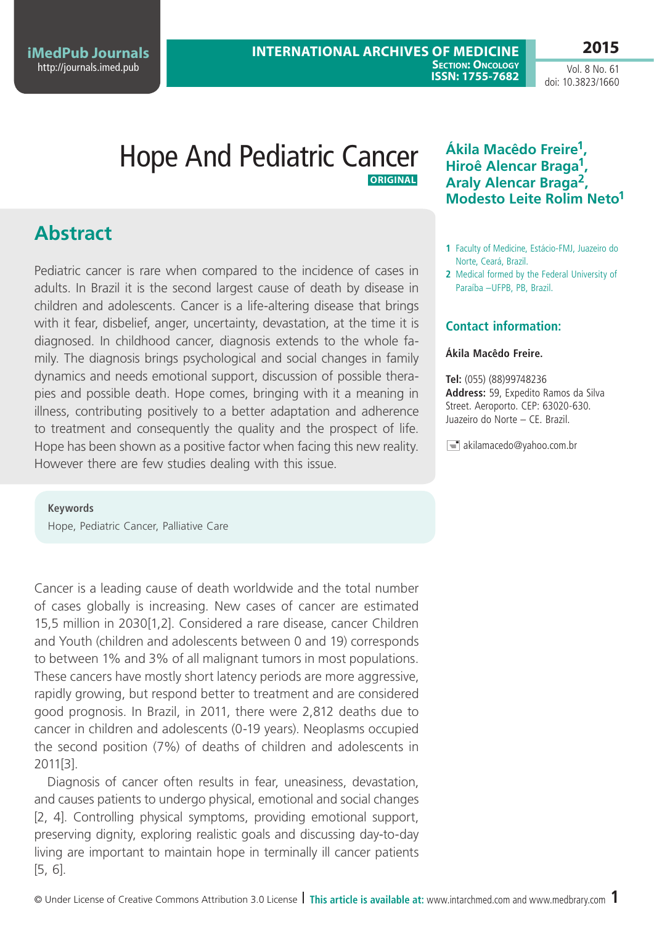**2015**

Vol. 8 No. 61 doi: 10.3823/1660

## Hope And Pediatric Cancer **Original**

# **Abstract**

Pediatric cancer is rare when compared to the incidence of cases in adults. In Brazil it is the second largest cause of death by disease in children and adolescents. Cancer is a life-altering disease that brings with it fear, disbelief, anger, uncertainty, devastation, at the time it is diagnosed. In childhood cancer, diagnosis extends to the whole family. The diagnosis brings psychological and social changes in family dynamics and needs emotional support, discussion of possible therapies and possible death. Hope comes, bringing with it a meaning in illness, contributing positively to a better adaptation and adherence to treatment and consequently the quality and the prospect of life. Hope has been shown as a positive factor when facing this new reality. However there are few studies dealing with this issue.

**Keywords** Hope, Pediatric Cancer, Palliative Care

Cancer is a leading cause of death worldwide and the total number of cases globally is increasing. New cases of cancer are estimated 15,5 million in 2030[1,2]. Considered a rare disease, cancer Children and Youth (children and adolescents between 0 and 19) corresponds to between 1% and 3% of all malignant tumors in most populations. These cancers have mostly short latency periods are more aggressive, rapidly growing, but respond better to treatment and are considered good prognosis. In Brazil, in 2011, there were 2,812 deaths due to cancer in children and adolescents (0-19 years). Neoplasms occupied the second position (7%) of deaths of children and adolescents in 2011[3].

Diagnosis of cancer often results in fear, uneasiness, devastation, and causes patients to undergo physical, emotional and social changes [2, 4]. Controlling physical symptoms, providing emotional support, preserving dignity, exploring realistic goals and discussing day-to-day living are important to maintain hope in terminally ill cancer patients [5, 6].

## **Ákila Macêdo Freire1, Hiroê Alencar Braga1, Araly Alencar Braga2, Modesto Leite Rolim Neto1**

- **1** Faculty of Medicine, Estácio-FMJ, Juazeiro do Norte, Ceará, Brazil.
- **2** Medical formed by the Federal University of Paraíba –UFPB, PB, Brazil.

### **Contact information:**

#### **Ákila Macêdo Freire.**

**Tel:** (055) (88)99748236 **Address:** 59, Expedito Ramos da Silva Street. Aeroporto. CEP: 63020-630. Juazeiro do Norte – CE. Brazil.

 $\equiv$  akilamacedo@yahoo.com.br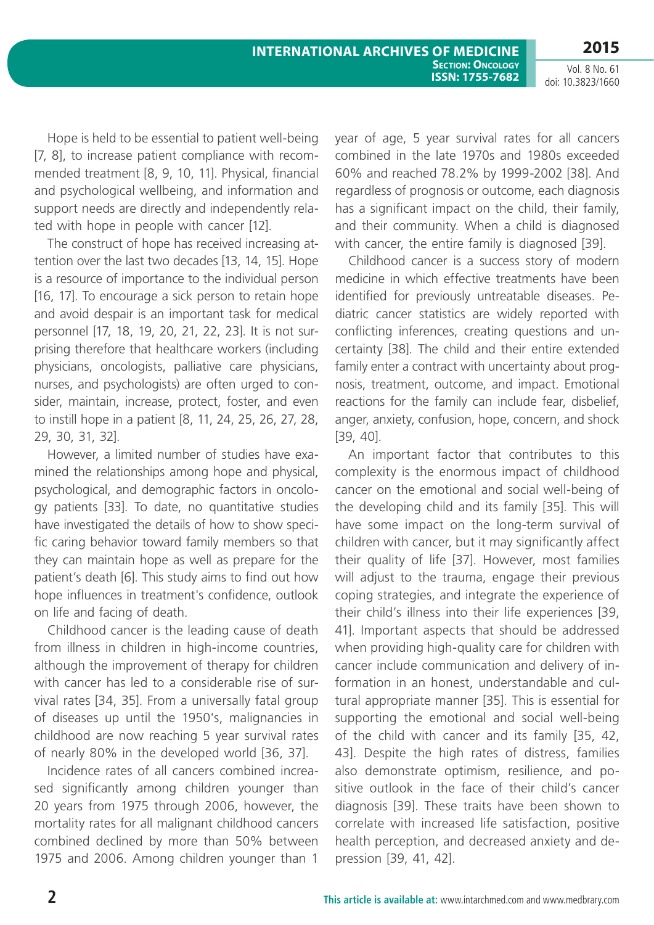Hope is held to be essential to patient well-being [7, 8], to increase patient compliance with recommended treatment [8, 9, 10, 11]. Physical, financial and psychological wellbeing, and information and support needs are directly and independently related with hope in people with cancer [12].

The construct of hope has received increasing attention over the last two decades [13, 14, 15]. Hope is a resource of importance to the individual person [16, 17]. To encourage a sick person to retain hope and avoid despair is an important task for medical personnel [17, 18, 19, 20, 21, 22, 23]. It is not surprising therefore that healthcare workers (including physicians, oncologists, palliative care physicians, nurses, and psychologists) are often urged to consider, maintain, increase, protect, foster, and even to instill hope in a patient [8, 11, 24, 25, 26, 27, 28, 29, 30, 31, 32].

However, a limited number of studies have examined the relationships among hope and physical, psychological, and demographic factors in oncology patients [33]. To date, no quantitative studies have investigated the details of how to show specific caring behavior toward family members so that they can maintain hope as well as prepare for the patient's death [6]. This study aims to find out how hope influences in treatment's confidence, outlook on life and facing of death.

Childhood cancer is the leading cause of death from illness in children in high-income countries, although the improvement of therapy for children with cancer has led to a considerable rise of survival rates [34, 35]. From a universally fatal group of diseases up until the 1950's, malignancies in childhood are now reaching 5 year survival rates of nearly 80% in the developed world [36, 37].

Incidence rates of all cancers combined increased significantly among children younger than 20 years from 1975 through 2006, however, the mortality rates for all malignant childhood cancers combined declined by more than 50% between 1975 and 2006. Among children younger than 1

year of age, 5 year survival rates for all cancers combined in the late 1970s and 1980s exceeded 60% and reached 78.2% by 1999-2002 [38]. And regardless of prognosis or outcome, each diagnosis has a significant impact on the child, their family, and their community. When a child is diagnosed with cancer, the entire family is diagnosed [39].

Childhood cancer is a success story of modern medicine in which effective treatments have been identified for previously untreatable diseases. Pediatric cancer statistics are widely reported with conflicting inferences, creating questions and uncertainty [38]. The child and their entire extended family enter a contract with uncertainty about prognosis, treatment, outcome, and impact. Emotional reactions for the family can include fear, disbelief, anger, anxiety, confusion, hope, concern, and shock [39, 40].

An important factor that contributes to this complexity is the enormous impact of childhood cancer on the emotional and social well-being of the developing child and its family [35]. This will have some impact on the long-term survival of children with cancer, but it may significantly affect their quality of life [37]. However, most families will adjust to the trauma, engage their previous coping strategies, and integrate the experience of their child's illness into their life experiences [39, 41]. Important aspects that should be addressed when providing high-quality care for children with cancer include communication and delivery of information in an honest, understandable and cultural appropriate manner [35]. This is essential for supporting the emotional and social well-being of the child with cancer and its family [35, 42, 43]. Despite the high rates of distress, families also demonstrate optimism, resilience, and positive outlook in the face of their child's cancer diagnosis [39]. These traits have been shown to correlate with increased life satisfaction, positive health perception, and decreased anxiety and depression [39, 41, 42].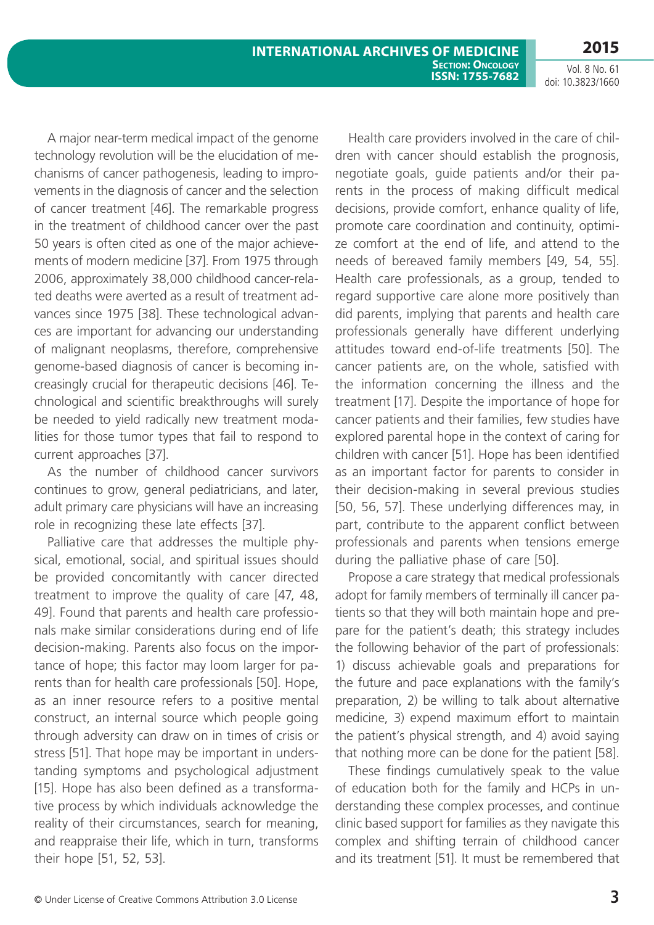A major near-term medical impact of the genome technology revolution will be the elucidation of mechanisms of cancer pathogenesis, leading to improvements in the diagnosis of cancer and the selection of cancer treatment [46]. The remarkable progress in the treatment of childhood cancer over the past 50 years is often cited as one of the major achievements of modern medicine [37]. From 1975 through 2006, approximately 38,000 childhood cancer-related deaths were averted as a result of treatment advances since 1975 [38]. These technological advances are important for advancing our understanding of malignant neoplasms, therefore, comprehensive genome-based diagnosis of cancer is becoming increasingly crucial for therapeutic decisions [46]. Technological and scientific breakthroughs will surely be needed to yield radically new treatment modalities for those tumor types that fail to respond to current approaches [37].

As the number of childhood cancer survivors continues to grow, general pediatricians, and later, adult primary care physicians will have an increasing role in recognizing these late effects [37].

Palliative care that addresses the multiple physical, emotional, social, and spiritual issues should be provided concomitantly with cancer directed treatment to improve the quality of care [47, 48, 49]. Found that parents and health care professionals make similar considerations during end of life decision-making. Parents also focus on the importance of hope; this factor may loom larger for parents than for health care professionals [50]. Hope, as an inner resource refers to a positive mental construct, an internal source which people going through adversity can draw on in times of crisis or stress [51]. That hope may be important in understanding symptoms and psychological adjustment [15]. Hope has also been defined as a transformative process by which individuals acknowledge the reality of their circumstances, search for meaning, and reappraise their life, which in turn, transforms their hope [51, 52, 53].

Health care providers involved in the care of children with cancer should establish the prognosis, negotiate goals, guide patients and/or their parents in the process of making difficult medical decisions, provide comfort, enhance quality of life, promote care coordination and continuity, optimize comfort at the end of life, and attend to the needs of bereaved family members [49, 54, 55]. Health care professionals, as a group, tended to regard supportive care alone more positively than did parents, implying that parents and health care professionals generally have different underlying attitudes toward end-of-life treatments [50]. The cancer patients are, on the whole, satisfied with the information concerning the illness and the treatment [17]. Despite the importance of hope for cancer patients and their families, few studies have explored parental hope in the context of caring for children with cancer [51]. Hope has been identified as an important factor for parents to consider in their decision-making in several previous studies [50, 56, 57]. These underlying differences may, in part, contribute to the apparent conflict between professionals and parents when tensions emerge during the palliative phase of care [50].

Propose a care strategy that medical professionals adopt for family members of terminally ill cancer patients so that they will both maintain hope and prepare for the patient's death; this strategy includes the following behavior of the part of professionals: 1) discuss achievable goals and preparations for the future and pace explanations with the family's preparation, 2) be willing to talk about alternative medicine, 3) expend maximum effort to maintain the patient's physical strength, and 4) avoid saying that nothing more can be done for the patient [58].

These findings cumulatively speak to the value of education both for the family and HCPs in understanding these complex processes, and continue clinic based support for families as they navigate this complex and shifting terrain of childhood cancer and its treatment [51]. It must be remembered that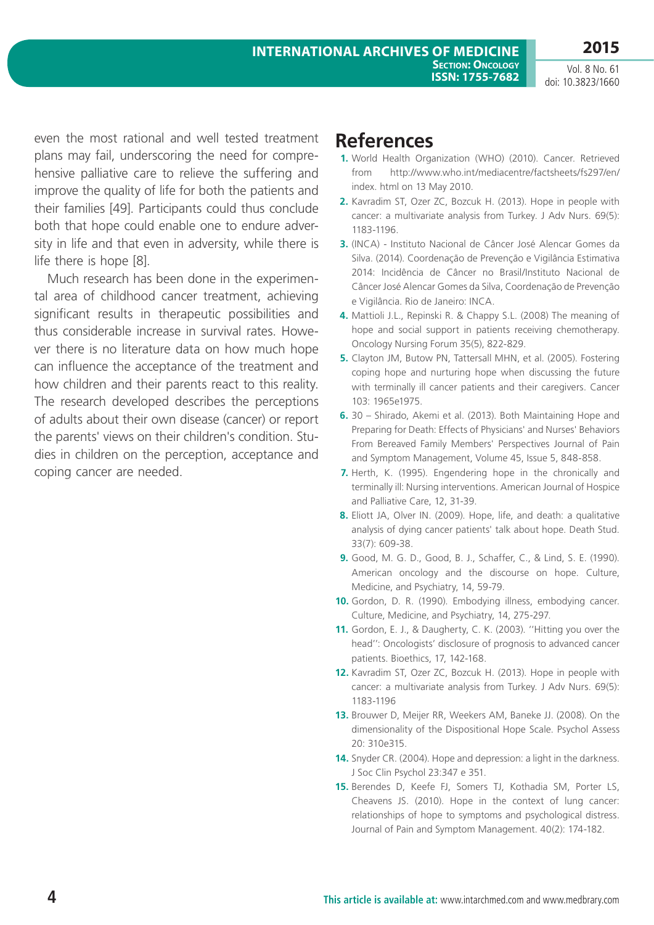**2015**

even the most rational and well tested treatment plans may fail, underscoring the need for comprehensive palliative care to relieve the suffering and improve the quality of life for both the patients and their families [49]. Participants could thus conclude both that hope could enable one to endure adversity in life and that even in adversity, while there is life there is hope [8].

Much research has been done in the experimental area of childhood cancer treatment, achieving significant results in therapeutic possibilities and thus considerable increase in survival rates. However there is no literature data on how much hope can influence the acceptance of the treatment and how children and their parents react to this reality. The research developed describes the perceptions of adults about their own disease (cancer) or report the parents' views on their children's condition. Studies in children on the perception, acceptance and coping cancer are needed.

## **References**

- **1.** World Health Organization (WHO) (2010). Cancer. Retrieved from http://www.who.int/mediacentre/factsheets/fs297/en/ index. html on 13 May 2010.
- **2.** Kavradim ST, Ozer ZC, Bozcuk H. (2013). Hope in people with cancer: a multivariate analysis from Turkey. J Adv Nurs. 69(5): 1183-1196.
- **3.** (INCA) Instituto Nacional de Câncer José Alencar Gomes da Silva. (2014). Coordenação de Prevenção e Vigilância Estimativa 2014: Incidência de Câncer no Brasil/Instituto Nacional de Câncer José Alencar Gomes da Silva, Coordenação de Prevenção e Vigilância. Rio de Janeiro: INCA.
- **4.** Mattioli J.L., Repinski R. & Chappy S.L. (2008) The meaning of hope and social support in patients receiving chemotherapy. Oncology Nursing Forum 35(5), 822-829.
- **5.** Clayton JM, Butow PN, Tattersall MHN, et al. (2005). Fostering coping hope and nurturing hope when discussing the future with terminally ill cancer patients and their caregivers. Cancer 103: 1965e1975.
- **6.** 30 Shirado, Akemi et al. (2013). Both Maintaining Hope and Preparing for Death: Effects of Physicians' and Nurses' Behaviors From Bereaved Family Members' Perspectives Journal of Pain and Symptom Management, Volume 45, Issue 5, 848-858.
- **7.** Herth, K. (1995). Engendering hope in the chronically and terminally ill: Nursing interventions. American Journal of Hospice and Palliative Care, 12, 31-39.
- **8.** Eliott JA, Olver IN. (2009). Hope, life, and death: a qualitative analysis of dying cancer patients' talk about hope. Death Stud. 33(7): 609-38.
- **9.** Good, M. G. D., Good, B. J., Schaffer, C., & Lind, S. E. (1990). American oncology and the discourse on hope. Culture, Medicine, and Psychiatry, 14, 59-79.
- **10.** Gordon, D. R. (1990). Embodying illness, embodying cancer. Culture, Medicine, and Psychiatry, 14, 275-297.
- **11.** Gordon, E. J., & Daugherty, C. K. (2003). ''Hitting you over the head'': Oncologists' disclosure of prognosis to advanced cancer patients. Bioethics, 17, 142-168.
- **12.** Kavradim ST, Ozer ZC, Bozcuk H. (2013). Hope in people with cancer: a multivariate analysis from Turkey. J Adv Nurs. 69(5): 1183-1196
- **13.** Brouwer D, Meijer RR, Weekers AM, Baneke JJ. (2008). On the dimensionality of the Dispositional Hope Scale. Psychol Assess 20: 310e315.
- **14.** Snyder CR. (2004). Hope and depression: a light in the darkness. J Soc Clin Psychol 23:347 e 351.
- **15.** Berendes D, Keefe FJ, Somers TJ, Kothadia SM, Porter LS, Cheavens JS. (2010). Hope in the context of lung cancer: relationships of hope to symptoms and psychological distress. Journal of Pain and Symptom Management. 40(2): 174-182.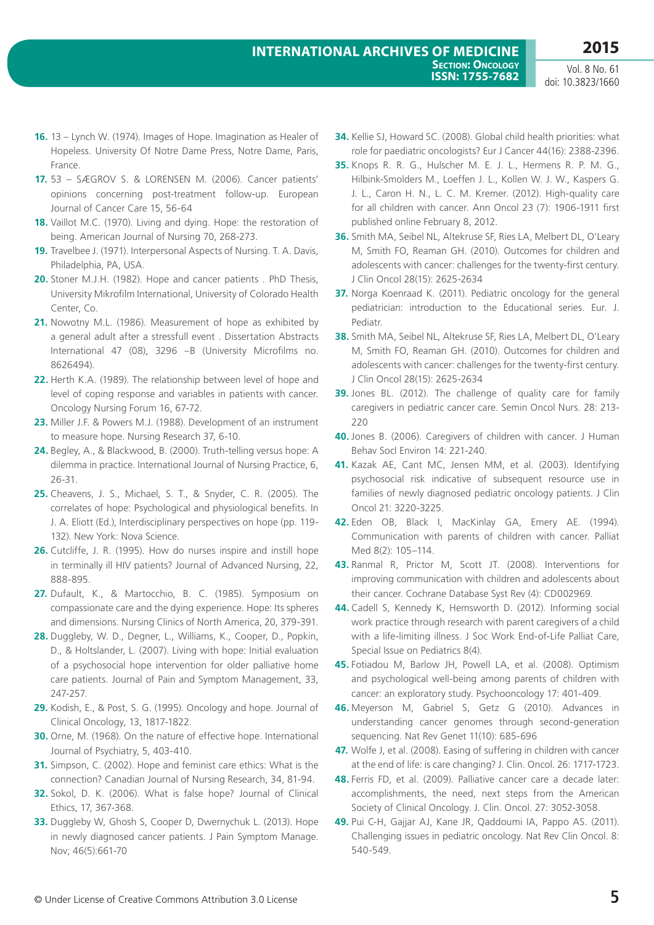- **16.** 13 Lynch W. (1974). Images of Hope. Imagination as Healer of Hopeless. University Of Notre Dame Press, Notre Dame, Paris, France.
- **17.** 53 SÆGROV S. & LORENSEN M. (2006). Cancer patients' opinions concerning post-treatment follow-up. European Journal of Cancer Care 15, 56-64
- **18.** Vaillot M.C. (1970). Living and dying. Hope: the restoration of being. American Journal of Nursing 70, 268-273.
- **19.** Travelbee J. (1971). Interpersonal Aspects of Nursing. T. A. Davis, Philadelphia, PA, USA.
- **20.** Stoner M.J.H. (1982). Hope and cancer patients . PhD Thesis, University Mikrofilm International, University of Colorado Health Center, Co.
- **21.** Nowotny M.L. (1986). Measurement of hope as exhibited by a general adult after a stressfull event . Dissertation Abstracts International 47 (08), 3296 –B (University Microfilms no. 8626494).
- **22.** Herth K.A. (1989). The relationship between level of hope and level of coping response and variables in patients with cancer. Oncology Nursing Forum 16, 67-72.
- **23.** Miller J.F. & Powers M.J. (1988). Development of an instrument to measure hope. Nursing Research 37, 6-10.
- **24.** Begley, A., & Blackwood, B. (2000). Truth-telling versus hope: A dilemma in practice. International Journal of Nursing Practice, 6, 26-31.
- **25.** Cheavens, J. S., Michael, S. T., & Snyder, C. R. (2005). The correlates of hope: Psychological and physiological benefits. In J. A. Eliott (Ed.), Interdisciplinary perspectives on hope (pp. 119- 132). New York: Nova Science.
- **26.** Cutcliffe, J. R. (1995). How do nurses inspire and instill hope in terminally ill HIV patients? Journal of Advanced Nursing, 22, 888-895.
- **27.** Dufault, K., & Martocchio, B. C. (1985). Symposium on compassionate care and the dying experience. Hope: Its spheres and dimensions. Nursing Clinics of North America, 20, 379-391.
- **28.** Duggleby, W. D., Degner, L., Williams, K., Cooper, D., Popkin, D., & Holtslander, L. (2007). Living with hope: Initial evaluation of a psychosocial hope intervention for older palliative home care patients. Journal of Pain and Symptom Management, 33, 247-257.
- **29.** Kodish, E., & Post, S. G. (1995). Oncology and hope. Journal of Clinical Oncology, 13, 1817-1822.
- **30.** Orne, M. (1968). On the nature of effective hope. International Journal of Psychiatry, 5, 403-410.
- **31.** Simpson, C. (2002). Hope and feminist care ethics: What is the connection? Canadian Journal of Nursing Research, 34, 81-94.
- **32.** Sokol, D. K. (2006). What is false hope? Journal of Clinical Ethics, 17, 367-368.
- **33.** Duggleby W, Ghosh S, Cooper D, Dwernychuk L. (2013). Hope in newly diagnosed cancer patients. J Pain Symptom Manage. Nov; 46(5):661-70
- **34.** Kellie SJ, Howard SC. (2008). Global child health priorities: what role for paediatric oncologists? Eur J Cancer 44(16): 2388-2396.
- **35.** Knops R. R. G., Hulscher M. E. J. L., Hermens R. P. M. G., Hilbink-Smolders M., Loeffen J. L., Kollen W. J. W., Kaspers G. J. L., Caron H. N., L. C. M. Kremer. (2012). High-quality care for all children with cancer. Ann Oncol 23 (7): 1906-1911 first published online February 8, 2012.
- **36.** Smith MA, Seibel NL, Altekruse SF, Ries LA, Melbert DL, O'Leary M, Smith FO, Reaman GH. (2010). Outcomes for children and adolescents with cancer: challenges for the twenty-first century. J Clin Oncol 28(15): 2625-2634
- **37.** Norga Koenraad K. (2011). Pediatric oncology for the general pediatrician: introduction to the Educational series. Eur. J. Pediatr.
- **38.** Smith MA, Seibel NL, Altekruse SF, Ries LA, Melbert DL, O'Leary M, Smith FO, Reaman GH. (2010). Outcomes for children and adolescents with cancer: challenges for the twenty-first century. J Clin Oncol 28(15): 2625-2634
- **39.** Jones BL. (2012). The challenge of quality care for family caregivers in pediatric cancer care. Semin Oncol Nurs. 28: 213- 220
- **40.** Jones B. (2006). Caregivers of children with cancer. J Human Behav Socl Environ 14: 221-240.
- **41.** Kazak AE, Cant MC, Jensen MM, et al. (2003). Identifying psychosocial risk indicative of subsequent resource use in families of newly diagnosed pediatric oncology patients. J Clin Oncol 21: 3220-3225.
- **42.** Eden OB, Black I, MacKinlay GA, Emery AE. (1994). Communication with parents of children with cancer. Palliat Med 8(2): 105–114.
- **43.** Ranmal R, Prictor M, Scott JT. (2008). Interventions for improving communication with children and adolescents about their cancer. Cochrane Database Syst Rev (4): CD002969.
- **44.** Cadell S, Kennedy K, Hemsworth D. (2012). Informing social work practice through research with parent caregivers of a child with a life-limiting illness. J Soc Work End-of-Life Palliat Care, Special Issue on Pediatrics 8(4).
- **45.** Fotiadou M, Barlow JH, Powell LA, et al. (2008). Optimism and psychological well-being among parents of children with cancer: an exploratory study. Psychooncology 17: 401-409.
- **46.** Meyerson M, Gabriel S, Getz G (2010). Advances in understanding cancer genomes through second-generation sequencing. Nat Rev Genet 11(10): 685-696
- **47.** Wolfe J, et al. (2008). Easing of suffering in children with cancer at the end of life: is care changing? J. Clin. Oncol. 26: 1717-1723.
- **48.** Ferris FD, et al. (2009). Palliative cancer care a decade later: accomplishments, the need, next steps from the American Society of Clinical Oncology. J. Clin. Oncol. 27: 3052-3058.
- **49.** Pui C-H, Gajjar AJ, Kane JR, Qaddoumi IA, Pappo AS. (2011). Challenging issues in pediatric oncology. Nat Rev Clin Oncol. 8: 540-549.